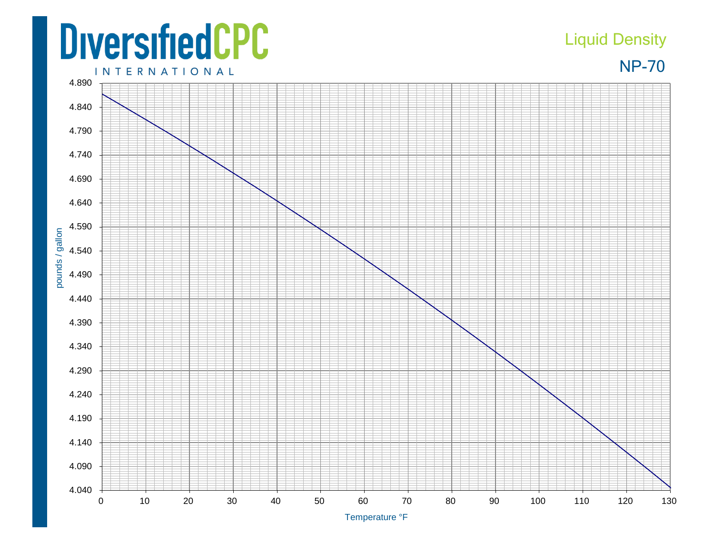## **DiversifiedCPC**

4.040

pounds / gallon

## Liquid Density

NP-70

**INTERNATIONAL** 4.890 4.840 4.790 4.740 4.690 4.640 4.590 4.540 4.490 4.440 4.390 4.340 4.290 4.240 4.190 4.140 4.090

Temperature °F

0 10 20 30 40 50 60 70 80 90 100 110 120 130